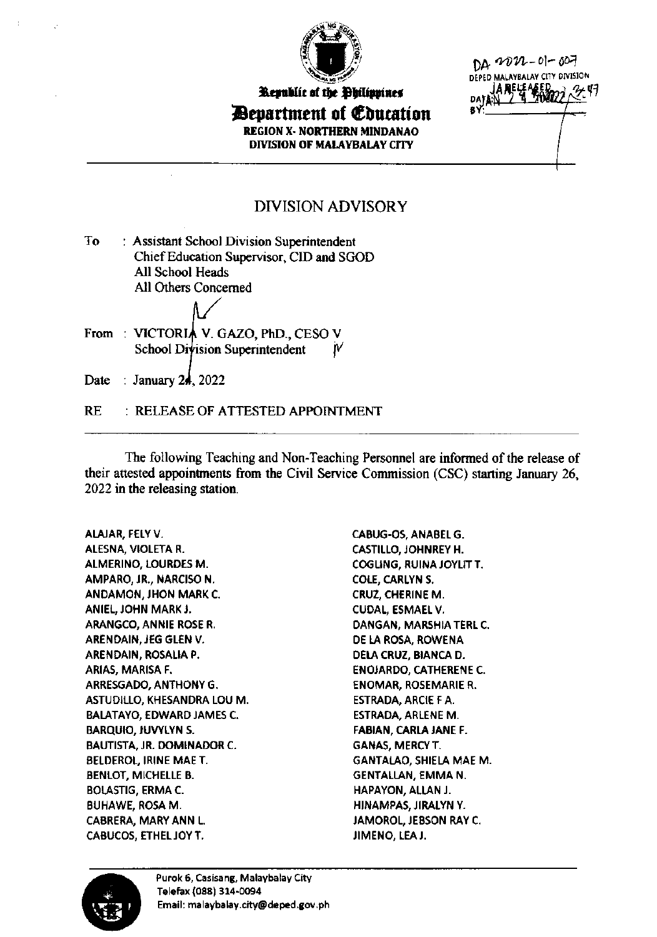

*Bepartment of Education* **REGION X- NORTHERN MINDANAO** DIVISION OF MALAYBALAY CITY

<u>na 2022-01-007</u> DEPED MALAYBALAY CITY DIVISION

## **DIVISION ADVISORY**

| Tо | : Assistant School Division Superintendent |
|----|--------------------------------------------|
|    | Chief Education Supervisor, CID and SGOD   |
|    | All School Heads                           |
|    | All Others Concerned                       |
|    |                                            |

From: VICTORIA V. GAZO, PhD., CESO V School Division Superintendent W

Date : January 24, 2022

**RE** : RELEASE OF ATTESTED APPOINTMENT

The following Teaching and Non-Teaching Personnel are informed of the release of their attested appointments from the Civil Service Commission (CSC) starting January 26, 2022 in the releasing station.

ALAJAR, FELY V. ALESNA, VIOLETA R. ALMERINO, LOURDES M. AMPARO, JR., NARCISO N. ANDAMON, JHON MARK C. ANIEL, JOHN MARK J. ARANGCO, ANNIE ROSE R. ARENDAIN, JEG GLEN V. ARENDAIN, ROSALIA P. ARIAS, MARISA F. ARRESGADO, ANTHONY G. ASTUDILLO, KHESANDRA LOU M. **BALATAYO, EDWARD JAMES C. BARQUIO, JUVYLYN S.** BAUTISTA, JR. DOMINADOR C. **BELDEROL, IRINE MAE T. BENLOT, MICHELLE B. BOLASTIG, ERMA C. BUHAWE, ROSA M. CABRERA, MARY ANN L.** CABUCOS, ETHEL JOY T.

CABUG-OS, ANABEL G. **CASTILLO, JOHNREY H. COGLING, RUINA JOYLIT T.** COLE, CARLYN S. CRUZ, CHERINE M. CUDAL, ESMAEL V. DANGAN, MARSHIA TERL C. DE LA ROSA, ROWENA DELA CRUZ, BIANCA D. **ENOJARDO, CATHERENE C. ENOMAR, ROSEMARIE R.** ESTRADA, ARCIE F A. **ESTRADA, ARLENE M.** FABIAN, CARLA JANE F. **GANAS, MERCY T. GANTALAO, SHIELA MAE M. GENTALLAN. EMMA N.** HAPAYON, ALLAN J. HINAMPAS, JIRALYN Y. JAMOROL, JEBSON RAY C. JIMENO, LEA J.